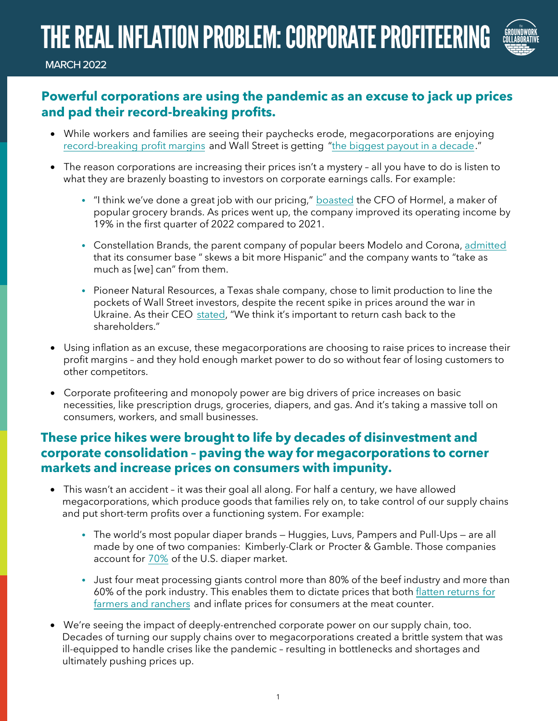## THE REAL INFLATION PROBLEM: CORPORATE PROFITEERING



MARCH 2022

## **Powerful corporations are using the pandemic as an excuse to jack up prices and pad their record-breaking profits.**

- While workers and families are seeing their paychecks [erode,](https://www.businessinsider.com/corporate-profits-are-high-despite-inflation-and-shortages-2021-11) megacorporations are enjoying [record-breaking](https://www.businessinsider.com/corporate-profits-are-high-despite-inflation-and-shortages-2021-11) [profit margins](https://www.businessinsider.com/corporate-profits-are-high-despite-inflation-and-shortages-2021-11) and Wall Street is getting ["the biggest payout in a decade."](https://www.bloomberg.com/news/articles/2022-02-02/wall-street-s-big-bonuses-are-back-and-bankers-are-buying-yachts-champagne)
- The reason corporations are increasing their prices isn't a mystery all you have to do is listen to what they are brazenly boasting to investors on corporate earnings calls. For example:
	- **•** "I think we've done a great job with our pricing," [boasted](https://www.fool.com/earnings/call-transcripts/2021/12/09/hormel-foods-corporation-hrl-q4-2021-earnings-call/?source=iedfolrf0000001) the CFO of Hormel, a maker of popular grocery brands. As prices went up, the company improved its operating income by 19% in the first quarter of 2022 compared to 2021.
	- **•** Constellation Brands, the parent company of popular beers Modelo and Corona, [admitted](https://www.fool.com/earnings/call-transcripts/2022/01/06/constellation-brands-stz-q3-2022-earnings-call-tra/) that its consumer base " skews a bit more Hispanic" and the company wants to "take as much as [we] can" from them.
	- **•** Pioneer Natural Resources, a Texas shale company, chose to limit production to line the pockets of Wall Street investors, despite the recent spike in prices around the war in Ukraine. As their CEO [stated](https://investors.pxd.com/news-releases/news-release-details/pioneer-natural-resources-reports-fourth-quarter-and-full-year-0), "We think it's important to return cash back to the shareholders."
- Using inflation as an excuse, these megacorporations are choosing to raise prices to increase their profit margins – and they hold enough market power to do so without fear of losing customers to other competitors.
- Corporate profiteering and monopoly power are big drivers of price increases on basic necessities, like prescription drugs, groceries, diapers, and gas. And it's taking a massive toll on consumers, workers, and small businesses.

## **These price hikes were brought to life by decades of disinvestment and corporate consolidation – paving the way for megacorporations to corner markets and increase prices on consumers with impunity.**

- This wasn't an accident it was their goal all along. For half a century, we have allowed megacorporations, which produce goods that families rely on, to take control of our supply chains and put short-term profits over a functioning system. For example:
	- **•** The world's most popular diaper brands Huggies, Luvs, Pampers and Pull-Ups are all made by one of two companies: Kimberly-Clark or Procter & Gamble. Those companies account for [70%](https://www.bloomberg.com/news/articles/2021-07-09/diaper-costs-crush-families-as-p-g-and-kimberly-clark-pass-along-inflation?sref=azsh6QkL) of the U.S. diaper market.
	- **•** Just four meat processing giants control more than 80% of the beef industry and more than 60% of the pork industry. This enables them to dictate prices that both [flatten returns for](https://twitter.com/MorePerfectUS/status/1438241268937670661) [farmers and ranchers](https://twitter.com/MorePerfectUS/status/1438241268937670661) and inflate prices for consumers at the meat counter.
- We're seeing the impact of deeply-entrenched corporate power on our supply chain, too. Decades of turning our supply chains over to megacorporations created a brittle system that was ill-equipped to handle crises like the pandemic – resulting in bottlenecks and shortages and ultimately pushing prices up.